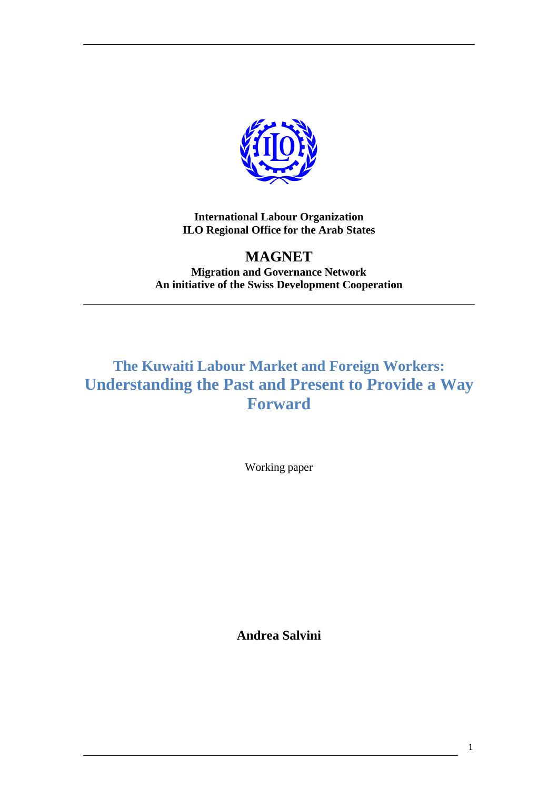

**International Labour Organization ILO Regional Office for the Arab States**

**MAGNET Migration and Governance Network An initiative of the Swiss Development Cooperation**

# **The Kuwaiti Labour Market and Foreign Workers: Understanding the Past and Present to Provide a Way Forward**

Working paper

**Andrea Salvini**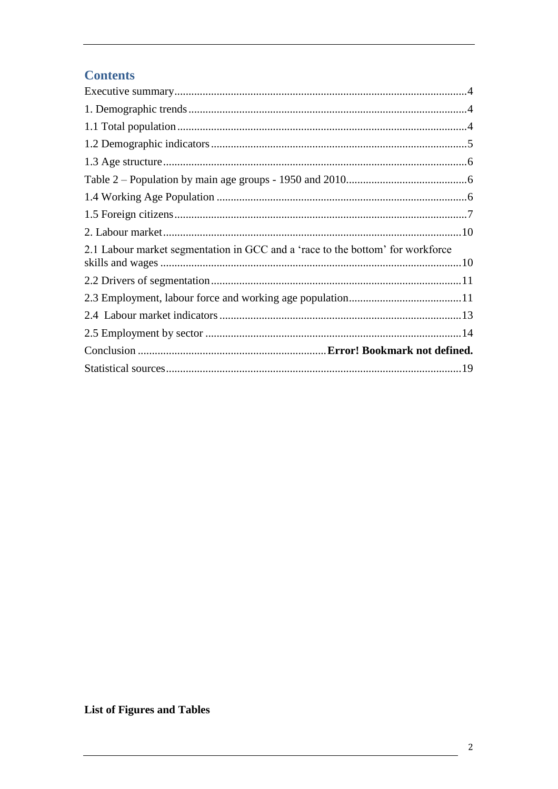# **Contents**

| 2.1 Labour market segmentation in GCC and a 'race to the bottom' for workforce |
|--------------------------------------------------------------------------------|
|                                                                                |
|                                                                                |
|                                                                                |
|                                                                                |
|                                                                                |
|                                                                                |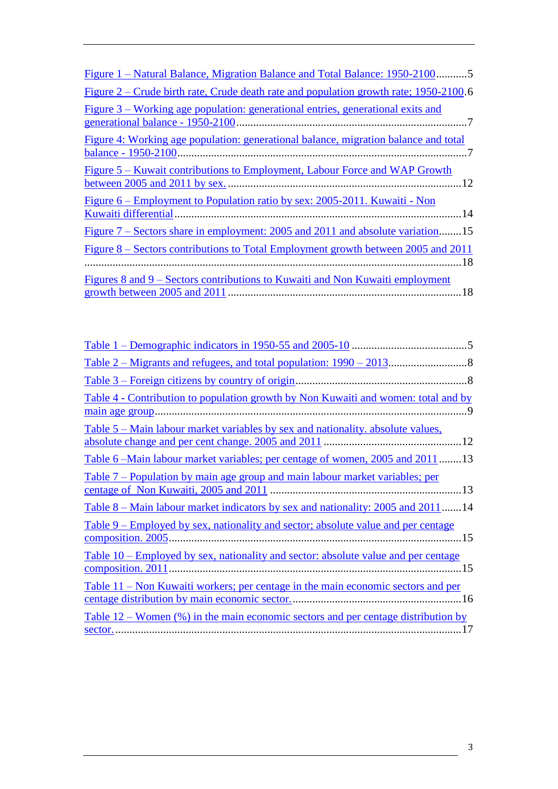| <u> Figure 1 – Natural Balance, Migration Balance and Total Balance: 1950-2100</u> 5                                |
|---------------------------------------------------------------------------------------------------------------------|
| <u>Figure 2 – Crude birth rate, Crude death rate and population growth rate; 1950-2100.6</u>                        |
| Figure 3 – Working age population: generational entries, generational exits and<br>generational balance - 1950-2100 |
| Figure 4: Working age population: generational balance, migration balance and total<br>balance - 1950-2100          |
| Figure 5 – Kuwait contributions to Employment, Labour Force and WAP Growth                                          |
| <u>Figure 6 – Employment to Population ratio by sex: 2005-2011. Kuwaiti - Non</u>                                   |
| <u>Figure 7 – Sectors share in employment: 2005 and 2011 and absolute variation15</u>                               |
| Figure 8 – Sectors contributions to Total Employment growth between 2005 and 2011                                   |
| <u>Figures 8 and 9 – Sectors contributions to Kuwaiti and Non Kuwaiti employment</u>                                |

| <u>Table 3 – Foreign citizens by country of origin</u> .                                               |
|--------------------------------------------------------------------------------------------------------|
| <u>Table 4 - Contribution to population growth by Non Kuwaiti and women: total and by</u>              |
| <u>Table 5 – Main labour market variables by sex and nationality, absolute values,</u>                 |
| Table 6 – Main labour market variables; per centage of women, 2005 and 2011 13                         |
| <u>Table 7 – Population by main age group and main labour market variables; per</u>                    |
| <u>Table 8 – Main labour market indicators by sex and nationality: 2005 and 2011</u> 14                |
| <u>Table 9 – Employed by sex, nationality and sector; absolute value and per centage</u>               |
| <u>Table 10 – Employed by sex, nationality and sector: absolute value and per centage</u>              |
| <u>Table 11 – Non Kuwaiti workers; per centage in the main economic sectors and per</u>                |
| <u>Table 12 – Women <math>(\%)</math> in the main economic sectors and per centage distribution by</u> |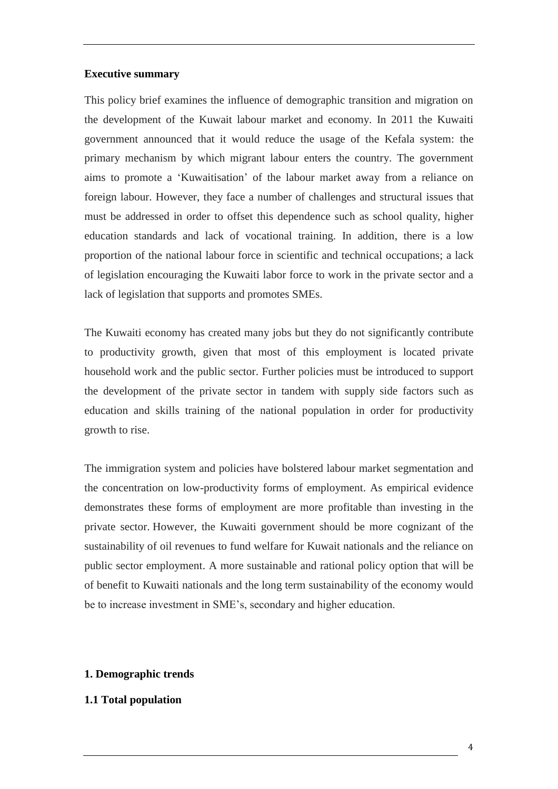#### <span id="page-3-0"></span>**Executive summary**

This policy brief examines the influence of demographic transition and migration on the development of the Kuwait labour market and economy. In 2011 the Kuwaiti government announced that it would reduce the usage of the Kefala system: the primary mechanism by which migrant labour enters the country. The government aims to promote a 'Kuwaitisation' of the labour market away from a reliance on foreign labour. However, they face a number of challenges and structural issues that must be addressed in order to offset this dependence such as school quality, higher education standards and lack of vocational training. In addition, there is a low proportion of the national labour force in scientific and technical occupations; a lack of legislation encouraging the Kuwaiti labor force to work in the private sector and a lack of legislation that supports and promotes SMEs.

The Kuwaiti economy has created many jobs but they do not significantly contribute to productivity growth, given that most of this employment is located private household work and the public sector. Further policies must be introduced to support the development of the private sector in tandem with supply side factors such as education and skills training of the national population in order for productivity growth to rise.

The immigration system and policies have bolstered labour market segmentation and the concentration on low-productivity forms of employment. As empirical evidence demonstrates these forms of employment are more profitable than investing in the private sector. However, the Kuwaiti government should be more cognizant of the sustainability of oil revenues to fund welfare for Kuwait nationals and the reliance on public sector employment. A more sustainable and rational policy option that will be of benefit to Kuwaiti nationals and the long term sustainability of the economy would be to increase investment in SME's, secondary and higher education.

#### <span id="page-3-1"></span>**1. Demographic trends**

#### <span id="page-3-2"></span>**1.1 Total population**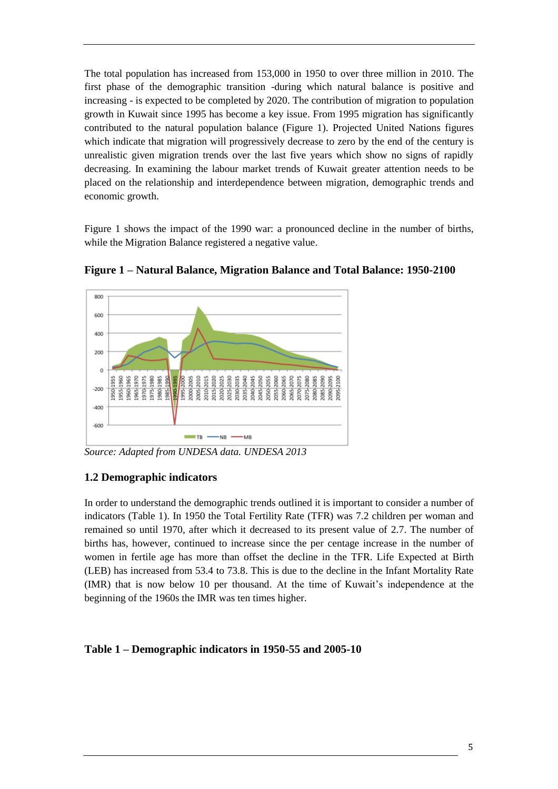The total population has increased from 153,000 in 1950 to over three million in 2010. The first phase of the demographic transition -during which natural balance is positive and increasing - is expected to be completed by 2020. The contribution of migration to population growth in Kuwait since 1995 has become a key issue. From 1995 migration has significantly contributed to the natural population balance (Figure 1). Projected United Nations figures which indicate that migration will progressively decrease to zero by the end of the century is unrealistic given migration trends over the last five years which show no signs of rapidly decreasing. In examining the labour market trends of Kuwait greater attention needs to be placed on the relationship and interdependence between migration, demographic trends and economic growth.

Figure 1 shows the impact of the 1990 war: a pronounced decline in the number of births, while the Migration Balance registered a negative value.



<span id="page-4-1"></span>**Figure 1 – Natural Balance, Migration Balance and Total Balance: 1950-2100**

<span id="page-4-0"></span>*Source: Adapted from UNDESA data. UNDESA 2013*

#### **1.2 Demographic indicators**

In order to understand the demographic trends outlined it is important to consider a number of indicators (Table 1). In 1950 the Total Fertility Rate (TFR) was 7.2 children per woman and remained so until 1970, after which it decreased to its present value of 2.7. The number of births has, however, continued to increase since the per centage increase in the number of women in fertile age has more than offset the decline in the TFR. Life Expected at Birth (LEB) has increased from 53.4 to 73.8. This is due to the decline in the Infant Mortality Rate (IMR) that is now below 10 per thousand. At the time of Kuwait's independence at the beginning of the 1960s the IMR was ten times higher.

#### <span id="page-4-2"></span>**Table 1 – Demographic indicators in 1950-55 and 2005-10**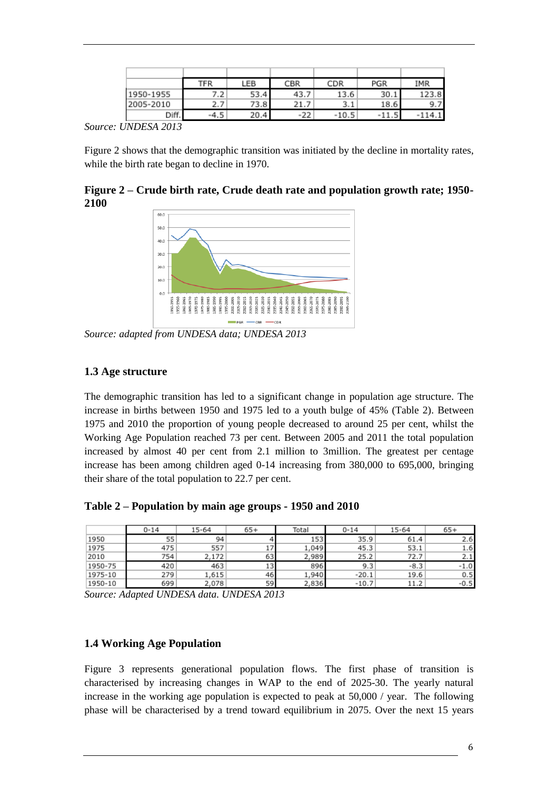|           | TFR    | <b>LEB</b> | CBR   | CDR     | PGR         | IMR      |
|-----------|--------|------------|-------|---------|-------------|----------|
| 1950-1955 | 7.2    | 53.4       | 43.7  | 13.6    | 30.1        | 123.8    |
| 2005-2010 | 2.7    | 73.8       | 21.7  | 3.1     | 18.6        | 9.7      |
| Diff.     | $-4.5$ | 20.4       | $-22$ | $-10.5$ | e<br>$-11.$ | $-114.1$ |

*Source: UNDESA 2013*

Figure 2 shows that the demographic transition was initiated by the decline in mortality rates, while the birth rate began to decline in 1970.

<span id="page-5-3"></span>**Figure 2 – Crude birth rate, Crude death rate and population growth rate; 1950- 2100**



*Source: adapted from UNDESA data; UNDESA 2013*

#### <span id="page-5-0"></span>**1.3 Age structure**

The demographic transition has led to a significant change in population age structure. The increase in births between 1950 and 1975 led to a youth bulge of 45% (Table 2). Between 1975 and 2010 the proportion of young people decreased to around 25 per cent, whilst the Working Age Population reached 73 per cent. Between 2005 and 2011 the total population increased by almost 40 per cent from 2.1 million to 3million. The greatest per centage increase has been among children aged 0-14 increasing from 380,000 to 695,000, bringing their share of the total population to 22.7 per cent.

<span id="page-5-1"></span>**Table 2 – Population by main age groups - 1950 and 2010** 

|         | 0-14 | 15-64 | $65+$ | Total | 0-14    | 15-64  | $65+$  |
|---------|------|-------|-------|-------|---------|--------|--------|
| 1950    | 55   | 94    |       | 153   | 35.9    | 61.4   | 2.6    |
| 1975    | 475  | 557   | 17    | 1,049 | 45.3    | 53.1   | 1.6    |
| 2010    | 754  | 2,172 | 63    | ,989  | 25.2    | 72.7   | 2.1    |
| 1950-75 | 420  | 463   | 13    | 896   | 9.3     | $-8.3$ | $-1.0$ |
| 1975-10 | 279  | 1,615 | 46    | 1,940 | $-20.1$ | 19.6   | 0.5    |
| 1950-10 | 699  | 2,078 | 59    | 2,836 | $-10.7$ | 11.2   | $-0.5$ |

*Source: Adapted UNDESA data. UNDESA 2013*

## <span id="page-5-2"></span>**1.4 Working Age Population**

Figure 3 represents generational population flows. The first phase of transition is characterised by increasing changes in WAP to the end of 2025-30. The yearly natural increase in the working age population is expected to peak at 50,000 / year. The following phase will be characterised by a trend toward equilibrium in 2075. Over the next 15 years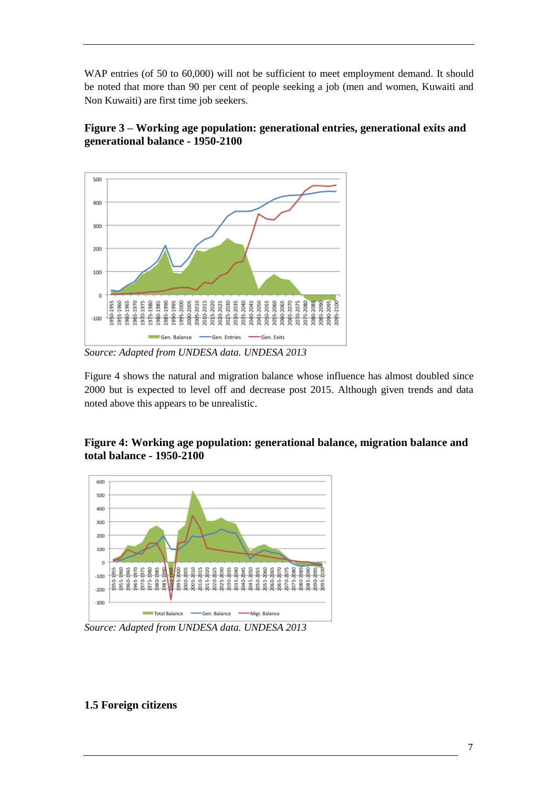WAP entries (of 50 to 60,000) will not be sufficient to meet employment demand. It should be noted that more than 90 per cent of people seeking a job (men and women, Kuwaiti and Non Kuwaiti) are first time job seekers.

<span id="page-6-1"></span>**Figure 3 – Working age population: generational entries, generational exits and generational balance - 1950-2100**



*Source: Adapted from UNDESA data. UNDESA 2013*

Figure 4 shows the natural and migration balance whose influence has almost doubled since 2000 but is expected to level off and decrease post 2015. Although given trends and data noted above this appears to be unrealistic.

# <span id="page-6-2"></span>**Figure 4: Working age population: generational balance, migration balance and total balance - 1950-2100**



<span id="page-6-0"></span>*Source: Adapted from UNDESA data. UNDESA 2013*

# **1.5 Foreign citizens**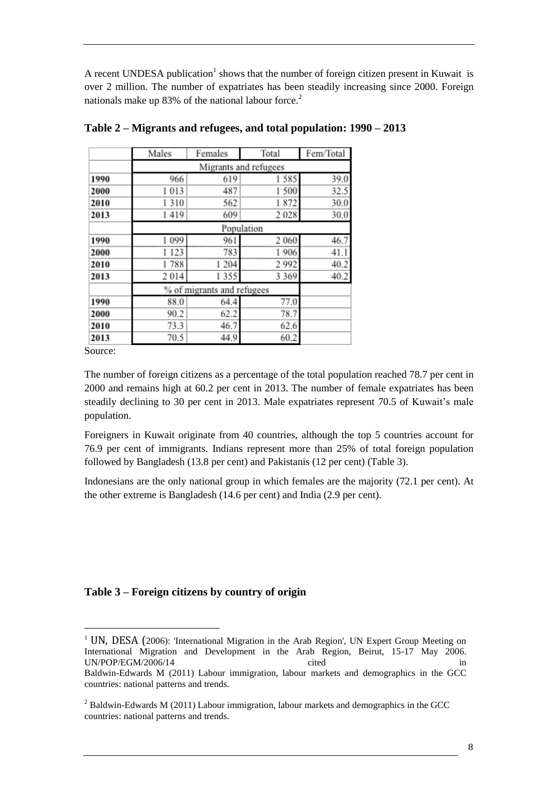A recent UNDESA publication<sup>1</sup> shows that the number of foreign citizen present in Kuwait is over 2 million. The number of expatriates has been steadily increasing since 2000. Foreign nationals make up  $83\%$  of the national labour force.<sup>2</sup>

|      | Males                 | Females                    | Total   | Fem/Total |  |  |  |  |  |
|------|-----------------------|----------------------------|---------|-----------|--|--|--|--|--|
|      | Migrants and refugees |                            |         |           |  |  |  |  |  |
| 1990 | 966                   | 619                        | 1585    | 39.0      |  |  |  |  |  |
| 2000 | 1013                  | 487                        | 1500    | 32.5      |  |  |  |  |  |
| 2010 | 1310                  | 562                        | 1872    | 30.0      |  |  |  |  |  |
| 2013 | 1419                  | 609                        | 2028    | 30.0      |  |  |  |  |  |
|      | Population            |                            |         |           |  |  |  |  |  |
| 1990 | 1 0 9 9               | 961                        | 2 0 6 0 | 46.7      |  |  |  |  |  |
| 2000 | 1 1 2 3               | 783                        | 1 906   | 41.1      |  |  |  |  |  |
| 2010 | 1788                  | 1 204                      | 2992    | 40.2      |  |  |  |  |  |
| 2013 | 2014                  | 1355                       | 3 3 6 9 | 40.2      |  |  |  |  |  |
|      |                       | % of migrants and refugees |         |           |  |  |  |  |  |
| 1990 | 88.0                  | 64.4                       | 77.0    |           |  |  |  |  |  |
| 2000 | 90.2                  | 62.2                       | 78.7    |           |  |  |  |  |  |
| 2010 | 73.3                  | 46.7                       | 62.6    |           |  |  |  |  |  |
| 2013 | 70.5                  | 44.9                       | 60.2    |           |  |  |  |  |  |

<span id="page-7-0"></span>**Table 2 – Migrants and refugees, and total population: 1990 – 2013** 

Source:

 $\overline{a}$ 

The number of foreign citizens as a percentage of the total population reached 78.7 per cent in 2000 and remains high at 60.2 per cent in 2013. The number of female expatriates has been steadily declining to 30 per cent in 2013. Male expatriates represent 70.5 of Kuwait's male population.

Foreigners in Kuwait originate from 40 countries, although the top 5 countries account for 76.9 per cent of immigrants. Indians represent more than 25% of total foreign population followed by Bangladesh (13.8 per cent) and Pakistanis (12 per cent) (Table 3).

<span id="page-7-1"></span>Indonesians are the only national group in which females are the majority (72.1 per cent). At the other extreme is Bangladesh (14.6 per cent) and India (2.9 per cent).

#### **Table 3 – Foreign citizens by country of origin**

<sup>&</sup>lt;sup>1</sup> UN, DESA (2006): 'International Migration in the Arab Region', UN Expert Group Meeting on International Migration and Development in the Arab Region, Beirut, 15-17 May 2006. UN/POP/EGM/2006/14 cited in Baldwin-Edwards M (2011) Labour immigration, labour markets and demographics in the GCC countries: national patterns and trends.

<sup>&</sup>lt;sup>2</sup> Baldwin-Edwards M (2011) Labour immigration, labour markets and demographics in the GCC countries: national patterns and trends.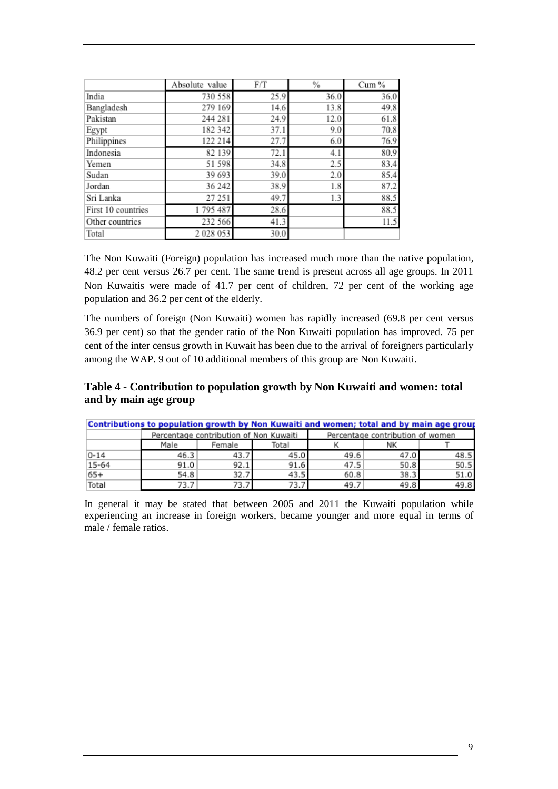|                    | Absolute value | F/T  | %    | Cum % |
|--------------------|----------------|------|------|-------|
| India              | 730 558        | 25.9 | 36.0 | 36.0  |
| Bangladesh         | 279 169        | 14.6 | 13.8 | 49.8  |
| Pakistan           | 244 281        | 24.9 | 12.0 | 61.8  |
| Egypt              | 182 342        | 37.1 | 9.0  | 70.8  |
| Philippines        | 122 214        | 27.7 | 6.0  | 76.9  |
| Indonesia          | 82 139         | 72.1 | 4.1  | 80.9  |
| Yemen              | 51 598         | 34.8 | 2.5  | 83.4  |
| Sudan              | 39 693         | 39.0 | 2.0  | 85.4  |
| Jordan             | 36 242         | 38.9 | 1.8  | 87.2  |
| Sri Lanka          | 27 251         | 49.7 | 1.3  | 88.5  |
| First 10 countries | 1795487        | 28.6 |      | 88.5  |
| Other countries    | 232 566        | 41.3 |      | 11.5  |
| Total              | 2028053        | 30.0 |      |       |

The Non Kuwaiti (Foreign) population has increased much more than the native population, 48.2 per cent versus 26.7 per cent. The same trend is present across all age groups. In 2011 Non Kuwaitis were made of 41.7 per cent of children, 72 per cent of the working age population and 36.2 per cent of the elderly.

The numbers of foreign (Non Kuwaiti) women has rapidly increased (69.8 per cent versus 36.9 per cent) so that the gender ratio of the Non Kuwaiti population has improved. 75 per cent of the inter census growth in Kuwait has been due to the arrival of foreigners particularly among the WAP. 9 out of 10 additional members of this group are Non Kuwaiti.

#### <span id="page-8-0"></span>**Table 4 - Contribution to population growth by Non Kuwaiti and women: total and by main age group**

|           | Contributions to population growth by Non Kuwaiti and women; total and by main age group |                                        |       |                                  |      |      |  |
|-----------|------------------------------------------------------------------------------------------|----------------------------------------|-------|----------------------------------|------|------|--|
|           |                                                                                          | Percentage contribution of Non Kuwaiti |       | Percentage contribution of women |      |      |  |
|           | Male                                                                                     | Female                                 | Total |                                  | NΚ   |      |  |
| $0 - 14$  | 46.3                                                                                     | 43.7                                   | 45.0  | 49.6                             | 47.0 | 48.5 |  |
| $15 - 64$ | 91.0                                                                                     | 92.1                                   | 91.6  | 47.5                             | 50.8 | 50.5 |  |
| $65+$     | 54.8                                                                                     | 32.7                                   | 43.5  | 60.8                             | 38.3 | 51.0 |  |
| Total     | 73.7                                                                                     | 73.7                                   | 73.,  | 49.7                             | 49.8 | 49.8 |  |

In general it may be stated that between 2005 and 2011 the Kuwaiti population while experiencing an increase in foreign workers, became younger and more equal in terms of male / female ratios.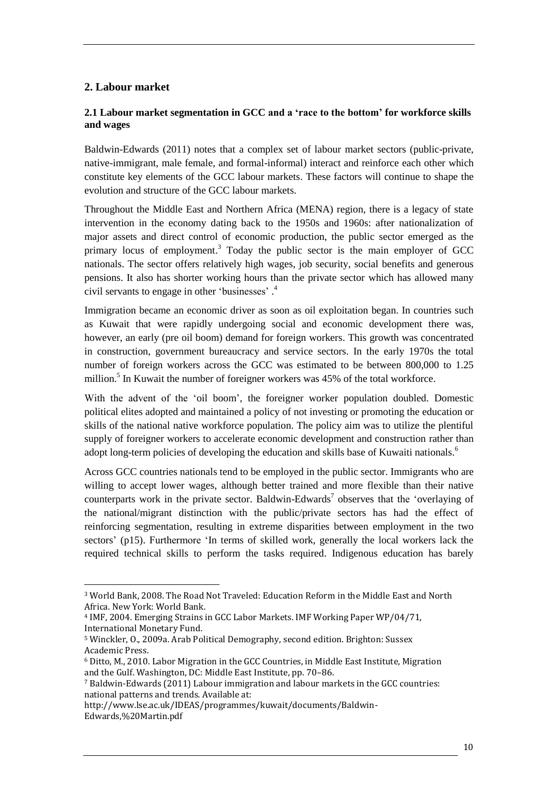#### <span id="page-9-0"></span>**2. Labour market**

 $\overline{a}$ 

#### <span id="page-9-1"></span>**2.1 Labour market segmentation in GCC and a 'race to the bottom' for workforce skills and wages**

Baldwin-Edwards (2011) notes that a complex set of labour market sectors (public-private, native-immigrant, male female, and formal-informal) interact and reinforce each other which constitute key elements of the GCC labour markets. These factors will continue to shape the evolution and structure of the GCC labour markets.

Throughout the Middle East and Northern Africa (MENA) region, there is a legacy of state intervention in the economy dating back to the 1950s and 1960s: after nationalization of major assets and direct control of economic production, the public sector emerged as the primary locus of employment.<sup>3</sup> Today the public sector is the main employer of GCC nationals. The sector offers relatively high wages, job security, social benefits and generous pensions. It also has shorter working hours than the private sector which has allowed many civil servants to engage in other 'businesses' . 4

Immigration became an economic driver as soon as oil exploitation began. In countries such as Kuwait that were rapidly undergoing social and economic development there was, however, an early (pre oil boom) demand for foreign workers. This growth was concentrated in construction, government bureaucracy and service sectors. In the early 1970s the total number of foreign workers across the GCC was estimated to be between 800,000 to 1.25 million.<sup>5</sup> In Kuwait the number of foreigner workers was 45% of the total workforce.

With the advent of the 'oil boom', the foreigner worker population doubled. Domestic political elites adopted and maintained a policy of not investing or promoting the education or skills of the national native workforce population. The policy aim was to utilize the plentiful supply of foreigner workers to accelerate economic development and construction rather than adopt long-term policies of developing the education and skills base of Kuwaiti nationals.<sup>6</sup>

Across GCC countries nationals tend to be employed in the public sector. Immigrants who are willing to accept lower wages, although better trained and more flexible than their native counterparts work in the private sector. Baldwin-Edwards<sup>7</sup> observes that the 'overlaying of the national/migrant distinction with the public/private sectors has had the effect of reinforcing segmentation, resulting in extreme disparities between employment in the two sectors' (p15). Furthermore 'In terms of skilled work, generally the local workers lack the required technical skills to perform the tasks required. Indigenous education has barely

<sup>3</sup> World Bank, 2008. The Road Not Traveled: Education Reform in the Middle East and North Africa. New York: World Bank.

<sup>4</sup> IMF, 2004. Emerging Strains in GCC Labor Markets. IMF Working Paper WP/04/71, International Monetary Fund.

<sup>5</sup> Winckler, O., 2009a. Arab Political Demography, second edition. Brighton: Sussex Academic Press.

<sup>6</sup> Ditto, M., 2010. Labor Migration in the GCC Countries, in Middle East Institute, Migration and the Gulf. Washington, DC: Middle East Institute, pp. 70–86.

<sup>7</sup> Baldwin-Edwards (2011) Labour immigration and labour markets in the GCC countries: national patterns and trends. Available at:

http://www.lse.ac.uk/IDEAS/programmes/kuwait/documents/Baldwin-Edwards,%20Martin.pdf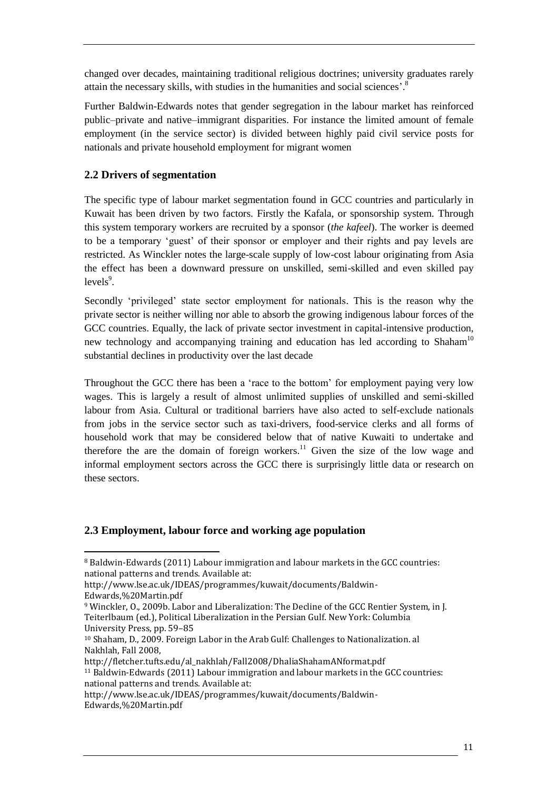changed over decades, maintaining traditional religious doctrines; university graduates rarely attain the necessary skills, with studies in the humanities and social sciences'. 8

Further Baldwin-Edwards notes that gender segregation in the labour market has reinforced public–private and native–immigrant disparities. For instance the limited amount of female employment (in the service sector) is divided between highly paid civil service posts for nationals and private household employment for migrant women

# <span id="page-10-0"></span>**2.2 Drivers of segmentation**

The specific type of labour market segmentation found in GCC countries and particularly in Kuwait has been driven by two factors. Firstly the Kafala, or sponsorship system. Through this system temporary workers are recruited by a sponsor (*the kafeel*). The worker is deemed to be a temporary 'guest' of their sponsor or employer and their rights and pay levels are restricted. As Winckler notes the large-scale supply of low-cost labour originating from Asia the effect has been a downward pressure on unskilled, semi-skilled and even skilled pay  $levels<sup>9</sup>$ .

Secondly 'privileged' state sector employment for nationals. This is the reason why the private sector is neither willing nor able to absorb the growing indigenous labour forces of the GCC countries. Equally, the lack of private sector investment in capital-intensive production, new technology and accompanying training and education has led according to Shaham<sup>10</sup> substantial declines in productivity over the last decade

Throughout the GCC there has been a 'race to the bottom' for employment paying very low wages. This is largely a result of almost unlimited supplies of unskilled and semi-skilled labour from Asia. Cultural or traditional barriers have also acted to self-exclude nationals from jobs in the service sector such as taxi-drivers, food-service clerks and all forms of household work that may be considered below that of native Kuwaiti to undertake and therefore the are the domain of foreign workers.<sup>11</sup> Given the size of the low wage and informal employment sectors across the GCC there is surprisingly little data or research on these sectors.

## <span id="page-10-1"></span>**2.3 Employment, labour force and working age population**

 $\overline{a}$ 

<sup>8</sup> Baldwin-Edwards (2011) Labour immigration and labour markets in the GCC countries: national patterns and trends. Available at:

http://www.lse.ac.uk/IDEAS/programmes/kuwait/documents/Baldwin-

Edwards,%20Martin.pdf

<sup>9</sup> Winckler, O., 2009b. Labor and Liberalization: The Decline of the GCC Rentier System, in J. Teiterlbaum (ed.), Political Liberalization in the Persian Gulf. New York: Columbia

University Press, pp. 59–85

<sup>10</sup> Shaham, D., 2009. Foreign Labor in the Arab Gulf: Challenges to Nationalization. al Nakhlah, Fall 2008,

http://fletcher.tufts.edu/al\_nakhlah/Fall2008/DhaliaShahamANformat.pdf

<sup>11</sup> Baldwin-Edwards (2011) Labour immigration and labour markets in the GCC countries: national patterns and trends. Available at:

http://www.lse.ac.uk/IDEAS/programmes/kuwait/documents/Baldwin-Edwards,%20Martin.pdf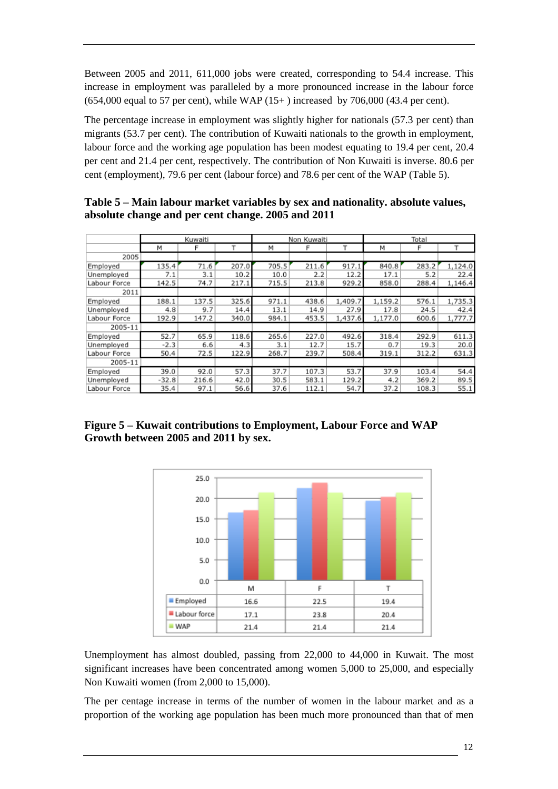Between 2005 and 2011, 611,000 jobs were created, corresponding to 54.4 increase. This increase in employment was paralleled by a more pronounced increase in the labour force (654,000 equal to 57 per cent), while WAP (15+ ) increased by 706,000 (43.4 per cent).

The percentage increase in employment was slightly higher for nationals (57.3 per cent) than migrants (53.7 per cent). The contribution of Kuwaiti nationals to the growth in employment, labour force and the working age population has been modest equating to 19.4 per cent, 20.4 per cent and 21.4 per cent, respectively. The contribution of Non Kuwaiti is inverse. 80.6 per cent (employment), 79.6 per cent (labour force) and 78.6 per cent of the WAP (Table 5).

|              | Kuwaiti |       |       |       | Non Kuwaiti |         |         | Total |         |
|--------------|---------|-------|-------|-------|-------------|---------|---------|-------|---------|
|              | М       | F     | т     | М     | F           |         | М       | F     |         |
| 2005         |         |       |       |       |             |         |         |       |         |
| Employed     | 135.4   | 71.6  | 207.0 | 705.5 | 211.6       | 917.1   | 840.8   | 283.2 | 1,124.0 |
| Unemployed   | 7.1     | 3.1   | 10.2  | 10.0  | 2.2         | 12.2    | 17.1    | 5.2   | 22.4    |
| Labour Force | 142.5   | 74.7  | 217.1 | 715.5 | 213.8       | 929.2   | 858.0   | 288.4 | 1,146.4 |
| 2011         |         |       |       |       |             |         |         |       |         |
| Employed     | 188.1   | 137.5 | 325.6 | 971.1 | 438.6       | 1,409.7 | 1,159.2 | 576.1 | 1,735.3 |
| Unemployed   | 4.8     | 9.7   | 14.4  | 13.1  | 14.9        | 27.9    | 17.8    | 24.5  | 42.4    |
| Labour Force | 192.9   | 147.2 | 340.0 | 984.1 | 453.5       | 1,437.6 | 1,177.0 | 600.6 | 1,777.7 |
| 2005-11      |         |       |       |       |             |         |         |       |         |
| Employed     | 52.7    | 65.9  | 118.6 | 265.6 | 227.0       | 492.6   | 318.4   | 292.9 | 611.3   |
| Unemployed   | $-2.3$  | 6.6   | 4.3   | 3.1   | 12.7        | 15.7    | 0.7     | 19.3  | 20.0    |
| Labour Force | 50.4    | 72.5  | 122.9 | 268.7 | 239.7       | 508.4   | 319.1   | 312.2 | 631.3   |
| 2005-11      |         |       |       |       |             |         |         |       |         |
| Employed     | 39.0    | 92.0  | 57.3  | 37.7  | 107.3       | 53.7    | 37.9    | 103.4 | 54.4    |
| Unemployed   | $-32.8$ | 216.6 | 42.0  | 30.5  | 583.1       | 129.2   | 4.2     | 369.2 | 89.5    |
| Labour Force | 35.4    | 97.1  | 56.6  | 37.6  | 112.1       | 54.7    | 37.2    | 108.3 | 55.1    |

<span id="page-11-1"></span>

| Table 5 – Main labour market variables by sex and nationality. absolute values, |
|---------------------------------------------------------------------------------|
| absolute change and per cent change. 2005 and 2011                              |

<span id="page-11-0"></span>**Figure 5 – Kuwait contributions to Employment, Labour Force and WAP Growth between 2005 and 2011 by sex.** 



Unemployment has almost doubled, passing from 22,000 to 44,000 in Kuwait. The most significant increases have been concentrated among women 5,000 to 25,000, and especially Non Kuwaiti women (from 2,000 to 15,000).

The per centage increase in terms of the number of women in the labour market and as a proportion of the working age population has been much more pronounced than that of men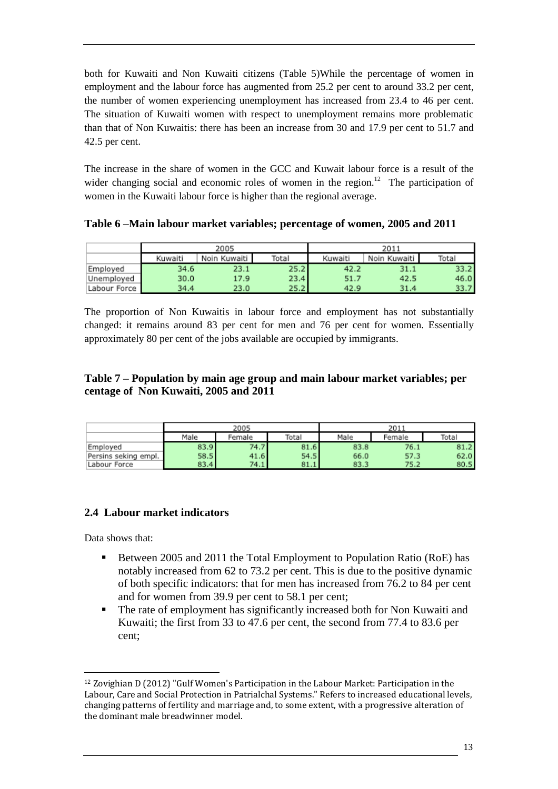both for Kuwaiti and Non Kuwaiti citizens (Table 5)While the percentage of women in employment and the labour force has augmented from 25.2 per cent to around 33.2 per cent, the number of women experiencing unemployment has increased from 23.4 to 46 per cent. The situation of Kuwaiti women with respect to unemployment remains more problematic than that of Non Kuwaitis: there has been an increase from 30 and 17.9 per cent to 51.7 and 42.5 per cent.

The increase in the share of women in the GCC and Kuwait labour force is a result of the wider changing social and economic roles of women in the region.<sup>12</sup> The participation of women in the Kuwaiti labour force is higher than the regional average.

<span id="page-12-1"></span>**Table 6 –Main labour market variables; percentage of women, 2005 and 2011**

|              |         | 2005           |       | 2011    |                |       |  |
|--------------|---------|----------------|-------|---------|----------------|-------|--|
|              | Kuwaiti | Noin Kuwaiti I | Total | Kuwaiti | Noin Kuwaiti I | Total |  |
| Employed     | 34.6    | 23.1           | 25.2  | 42.2    | 31.1           | 33.2  |  |
| Unemployed   | 30.0    | 17.9           | 23.4  | 51.7    | 42.5           | 46.0  |  |
| Labour Force | 34.4    | 23.0           | 25.2  | 42.9    | 31.4           | 33.7  |  |

The proportion of Non Kuwaitis in labour force and employment has not substantially changed: it remains around 83 per cent for men and 76 per cent for women. Essentially approximately 80 per cent of the jobs available are occupied by immigrants.

# <span id="page-12-2"></span>**Table 7 – Population by main age group and main labour market variables; per centage of Non Kuwaiti, 2005 and 2011**

|                      |      | 2005   |       | 2011 |        |       |
|----------------------|------|--------|-------|------|--------|-------|
|                      | Male | Female | Total | Male | Female | Total |
| Employed             | 83.9 | 74.7   | 81.6  | 83.8 | 76.1   | 81.2  |
| Persins seking empl. | 58.5 | 41.6   | 54.5  | 66.0 | 57.3   | 62.0  |
| Labour Force         | 83.4 | 74.1   | 81.1  | 83.3 | 75.2   | 80.5  |

# <span id="page-12-0"></span>**2.4 Labour market indicators**

Data shows that:

 $\overline{a}$ 

- Between 2005 and 2011 the Total Employment to Population Ratio (RoE) has notably increased from 62 to 73.2 per cent. This is due to the positive dynamic of both specific indicators: that for men has increased from 76.2 to 84 per cent and for women from 39.9 per cent to 58.1 per cent;
- The rate of employment has significantly increased both for Non Kuwaiti and Kuwaiti; the first from 33 to 47.6 per cent, the second from 77.4 to 83.6 per cent;

<sup>12</sup> Zovighian D (2012) "Gulf Women's Participation in the Labour Market: Participation in the Labour, Care and Social Protection in Patrialchal Systems." Refers to increased educational levels, changing patterns of fertility and marriage and, to some extent, with a progressive alteration of the dominant male breadwinner model.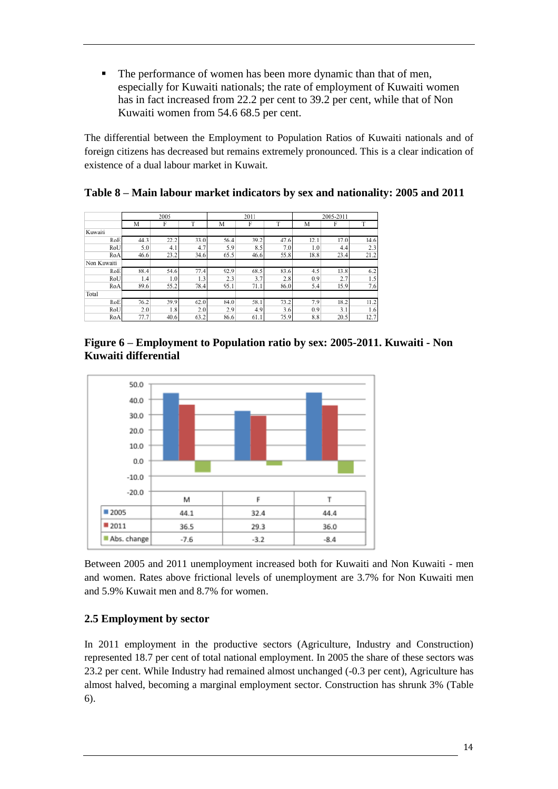• The performance of women has been more dynamic than that of men, especially for Kuwaiti nationals; the rate of employment of Kuwaiti women has in fact increased from 22.2 per cent to 39.2 per cent, while that of Non Kuwaiti women from 54.6 68.5 per cent.

The differential between the Employment to Population Ratios of Kuwaiti nationals and of foreign citizens has decreased but remains extremely pronounced. This is a clear indication of existence of a dual labour market in Kuwait.

|             | 2005 |      |      |      | 2011 |      |      | 2005-2011 |      |  |
|-------------|------|------|------|------|------|------|------|-----------|------|--|
|             | М    | F    | T    | М    | F    | m    | М    | F         | T    |  |
| Kuwaiti     |      |      |      |      |      |      |      |           |      |  |
| RoE         | 44.3 | 22.2 | 33.0 | 56.4 | 39.2 | 47.6 | 12.1 | 17.0      | 14.6 |  |
| RoU         | 5.0  | 4.1  | 4.7  | 5.9  | 8.5  | 7.0  | 1.0  | 4.4       | 2.3  |  |
| RoA         | 46.6 | 23.2 | 34.6 | 65.5 | 46.6 | 55.8 | 18.8 | 23.4      | 21.2 |  |
| Non Kuwaiti |      |      |      |      |      |      |      |           |      |  |
| RoE         | 88.4 | 54.6 | 77.4 | 92.9 | 68.5 | 83.6 | 4.5  | 13.8      | 6.2  |  |
| RoU         | 1.4  | 1.0  | 1.3  | 2.3  | 3.7  | 2.8  | 0.9  | 2.7       | 1.5  |  |
| RoA         | 89.6 | 55.2 | 78.4 | 95.1 | 71.1 | 86.0 | 5.4  | 15.9      | 7.6  |  |
| Total       |      |      |      |      |      |      |      |           |      |  |
| RoE         | 76.2 | 39.9 | 62.0 | 84.0 | 58.1 | 73.2 | 7.9  | 18.2      | 11.2 |  |
| RoU         | 2.0  | 1.8  | 2.0  | 2.9  | 4.9  | 3.6  | 0.9  | 3.1       | 1.6  |  |
| RoA         | 77.7 | 40.6 | 63.2 | 86.6 | 61.1 | 75.9 | 8.8  | 20.5      | 12.7 |  |

## <span id="page-13-2"></span>**Table 8 – Main labour market indicators by sex and nationality: 2005 and 2011**

<span id="page-13-1"></span>



Between 2005 and 2011 unemployment increased both for Kuwaiti and Non Kuwaiti - men and women. Rates above frictional levels of unemployment are 3.7% for Non Kuwaiti men and 5.9% Kuwait men and 8.7% for women.

## <span id="page-13-0"></span>**2.5 Employment by sector**

In 2011 employment in the productive sectors (Agriculture, Industry and Construction) represented 18.7 per cent of total national employment. In 2005 the share of these sectors was 23.2 per cent. While Industry had remained almost unchanged (-0.3 per cent), Agriculture has almost halved, becoming a marginal employment sector. Construction has shrunk 3% (Table 6).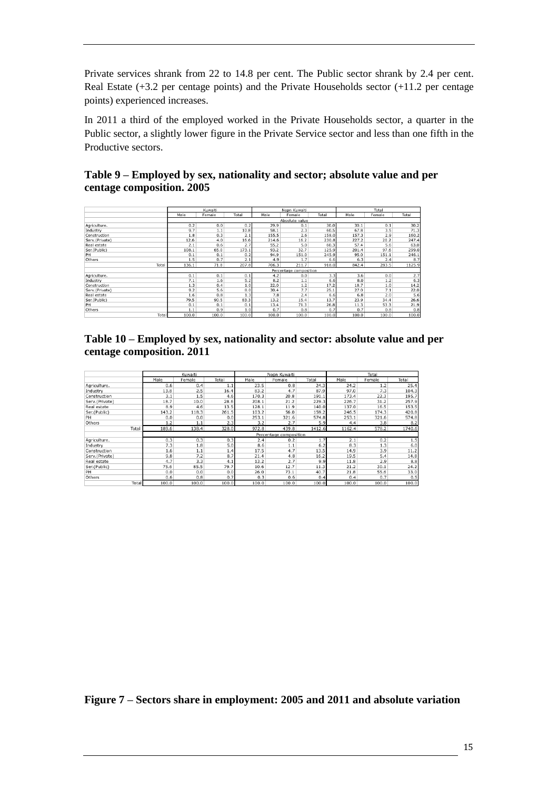Private services shrank from 22 to 14.8 per cent. The Public sector shrank by 2.4 per cent. Real Estate (+3.2 per centage points) and the Private Households sector (+11.2 per centage points) experienced increases.

In 2011 a third of the employed worked in the Private Households sector, a quarter in the Public sector, a slightly lower figure in the Private Service sector and less than one fifth in the Productive sectors.

<span id="page-14-1"></span>

| Table 9 – Employed by sex, nationality and sector; absolute value and per |
|---------------------------------------------------------------------------|
| centage composition. 2005                                                 |

|                | Kuwaiti                |                |       |       | Nopn Kuwaiti |       |       | Total  |        |  |
|----------------|------------------------|----------------|-------|-------|--------------|-------|-------|--------|--------|--|
|                | Male                   | Female         | Total | Male  | Female       | Total | Male  | Female | Total  |  |
|                |                        | Absolute value |       |       |              |       |       |        |        |  |
| Agriculture.   | 0.2                    | 0.0            | 0.2   | 29.9  | 0.1          | 30.0  | 30.1  | 0.1    | 30.2   |  |
| Industry       | 9.7                    | 1.1            | 10.8  | 58.1  | 2.3          | 60.5  | 67.8  | 3.5    | 71.3   |  |
| Construction   | 1.8                    | 0.3            | 2.1   | 155.5 | 2.6          | 158.0 | 157.3 | 2.9    | 160.2  |  |
| Serv.(Private) | 12.6                   | 4.0            | 16.6  | 214.6 | 16.2         | 230.8 | 227.2 | 20.2   | 247.4  |  |
| Real estate    | 2.1                    | 0.6            | 2.7   | 55.2  | 5.0          | 60.3  | 57.4  | 5.6    | 63.0   |  |
| Ser.(Public)   | 108.1                  | 65.0           | 173.1 | 93.2  | 32.7         | 125.9 | 201.4 | 97.6   | 299.0  |  |
| PH             | 0.1                    | 0.1            | 0.2   | 94.9  | 151.0        | 245.9 | 95.0  | 151.1  | 246.1  |  |
| Others         | 1.5                    | 0.7            | 2.1   | 4.9   | 1.7          | 6.6   | 6.3   | 2.4    | 8.7    |  |
| Total          | 136.1                  | 71.8           | 207.8 | 706.3 | 211.7        | 918.0 | 842.4 | 283.5  | 1125.9 |  |
|                | Percentage composition |                |       |       |              |       |       |        |        |  |
| Agriculture.   | 0.1                    | 0.1            | 0.1   | 4.2   | 0.0          | 3.3   | 3.6   | 0.0    | 2.7    |  |
| Industry       | 7.1                    | 1.6            | 5.2   | 8.2   | 1.1          | 6.6   | 8.0   | 1.2    | 6.3    |  |
| Construction   | 1.3                    | 0.4            | 1.0   | 22.0  | 1.2          | 17.2  | 18.7  | 1.0    | 14.2   |  |
| Serv.(Private) | 9.2                    | 5.6            | 8.0   | 30.4  | 7.7          | 25.1  | 27.0  | 7.1    | 22.0   |  |
| Real estate    | 1.6                    | 0.8            | 1.3   | 7.8   | 2.4          | 6.6   | 6.8   | 2.0    | 5.6    |  |
| Ser.(Public)   | 79.5                   | 90.5           | 83.3  | 13.2  | 15.4         | 13.7  | 23.9  | 34.4   | 26.6   |  |
| PH             | 0.1                    | 0.1            | 0.1   | 13.4  | 71.3         | 26.8  | 11.3  | 53.3   | 21.9   |  |
| Others         | 1.1                    | 0.9            | 1.0   | 0.7   | 0.8          | 0.7   | 0.7   | 0.8    | 0.8    |  |
| Total          | 100.0                  | 100.0          | 100.0 | 100.0 | 100.0        | 100.0 | 100.0 | 100.0  | 100.0  |  |

<span id="page-14-2"></span>

| Table 10 – Employed by sex, nationality and sector: absolute value and per |  |
|----------------------------------------------------------------------------|--|
| centage composition. 2011                                                  |  |

<span id="page-14-0"></span>

|                | Kuwaiti |        |       |       | Nopn Kuwaiti           |        | Total  |        |        |
|----------------|---------|--------|-------|-------|------------------------|--------|--------|--------|--------|
|                | Male    | Female | Total | Male  | Female                 | Total  | Male   | Female | Total  |
| Agriculture.   | 0.6     | 0.4    | 1.1   | 23.5  | 0.8                    | 24.3   | 24.2   | 1.2    | 25.4   |
| Industry       | 13.8    | 2.5    | 16.4  | 83.2  | 4.7                    | 87.9   | 97.0   | 7.3    | 104.3  |
| Construction   | 3.1     | 1.5    | 4.6   | 170.3 | 20.8                   | 191.1  | 173.4  | 22.3   | 195.7  |
| Serv.(Private) | 18.7    | 10.0   | 28.6  | 208.1 | 21.2                   | 229.3  | 226.7  | 31.2   | 257.9  |
| Real estate    | 8.9     | 4.6    | 13.5  | 128.1 | 11.9                   | 140.0  | 137.0  | 16.5   | 153.5  |
| Ser.(Public)   | 143.2   | 118.3  | 261.5 | 103.2 | 56.0                   | 159.2  | 246.5  | 174.3  | 420.8  |
| PH             | 0.0     | 0.0    | 0.0   | 253.1 | 321.6                  | 574.8  | 253.1  | 321.6  | 574.8  |
| Others         | 1.2     | 1.1    | 2.3   | 3.2   | 2.7                    | 5.9    | 4.4    | 3.8    | 8.2    |
| Total          | 189.6   | 138.4  | 328.0 | 972.8 | 439.8                  | 1412.6 | 1162.4 | 578.2  | 1740.6 |
|                |         |        |       |       | Percentage composition |        |        |        |        |
| Agriculture.   | 0.3     | 0.3    | 0.3   | 2.4   | 0.2                    | 1.7    | 2.1    | 0.2    | 1.5    |
| Industry       | 7.3     | 1.8    | 5.0   | 8.6   | 1.1                    | 6.2    | 8.3    | 1.3    | 6.0    |
| Construction   | 1.6     | 1.1    | 1.4   | 17.5  | 4.7                    | 13.5   | 14.9   | 3.9    | 11.2   |
| Serv.(Private) | 9.8     | 7.2    | 8.7   | 21.4  | 4.8                    | 16.2   | 19.5   | 5.4    | 14.8   |
| Real estate    | 4.7     | 3.3    | 4.1   | 13.2  | 2.7                    | 9.9    | 11.8   | 2.9    | 8.8    |
| Ser.(Public)   | 75.6    | 85.5   | 79.7  | 10.6  | 12.7                   | 11.3   | 21.2   | 30.1   | 24.2   |
| PH             | 0.0     | 0.0    | 0.0   | 26.0  | 73.1                   | 40.7   | 21.8   | 55.6   | 33.0   |
| Others         | 0.6     | 0.8    | 0.7   | 0.3   | 0.6                    | 0.4    | 0.4    | 0.7    | 0.5    |
| Total          | 100.0   | 100.0  | 100.0 | 100.0 | 100.0                  | 100.0  | 100.0  | 100.0  | 100.0  |

**Figure 7 – Sectors share in employment: 2005 and 2011 and absolute variation**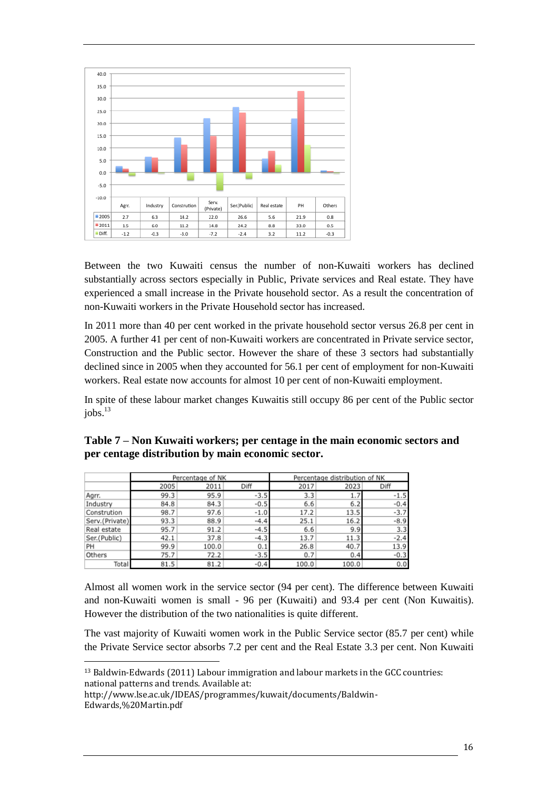

Between the two Kuwaiti census the number of non-Kuwaiti workers has declined substantially across sectors especially in Public, Private services and Real estate. They have experienced a small increase in the Private household sector. As a result the concentration of non-Kuwaiti workers in the Private Household sector has increased.

In 2011 more than 40 per cent worked in the private household sector versus 26.8 per cent in 2005. A further 41 per cent of non-Kuwaiti workers are concentrated in Private service sector, Construction and the Public sector. However the share of these 3 sectors had substantially declined since in 2005 when they accounted for 56.1 per cent of employment for non-Kuwaiti workers. Real estate now accounts for almost 10 per cent of non-Kuwaiti employment.

In spite of these labour market changes Kuwaitis still occupy 86 per cent of the Public sector jobs. 13

|                |      | Percentage of NK |        | Percentage distribution of NK |       |        |  |
|----------------|------|------------------|--------|-------------------------------|-------|--------|--|
|                | 2005 | 2011             | Diff   | 2017                          | 2023  | Diff   |  |
| Agrr.          | 99.3 | 95.9             | $-3.5$ | 3.3                           | 1.7   | $-1.5$ |  |
| Industry       | 84.8 | 84.3             | $-0.5$ | 6.6                           | 6.2   | $-0.4$ |  |
| Constrution    | 98.7 | 97.6             | $-1.0$ | 17.2                          | 13.5  | $-3.7$ |  |
| Serv.(Private) | 93.3 | 88.9             | $-4.4$ | 25.1                          | 16.2  | $-8.9$ |  |
| Real estate    | 95.7 | 91.2             | $-4.5$ | 6.6                           | 9.9   | 3.3    |  |
| Ser.(Public)   | 42.1 | 37.8             | $-4.3$ | 13.7                          | 11.3  | $-2.4$ |  |
| PH             | 99.9 | 100.0            | 0.1    | 26.8                          | 40.7  | 13.9   |  |
| Others         | 75.7 | 72.2             | $-3.5$ | 0.7                           | 0.4   | $-0.3$ |  |
| Total          | 81.5 | 81.2             | $-0.4$ | 100.0                         | 100.0 | 0.0    |  |

<span id="page-15-0"></span>**Table 7 – Non Kuwaiti workers; per centage in the main economic sectors and per centage distribution by main economic sector.**

Almost all women work in the service sector (94 per cent). The difference between Kuwaiti and non-Kuwaiti women is small - 96 per (Kuwaiti) and 93.4 per cent (Non Kuwaitis). However the distribution of the two nationalities is quite different.

The vast majority of Kuwaiti women work in the Public Service sector (85.7 per cent) while the Private Service sector absorbs 7.2 per cent and the Real Estate 3.3 per cent. Non Kuwaiti

http://www.lse.ac.uk/IDEAS/programmes/kuwait/documents/Baldwin-Edwards,%20Martin.pdf

 $\overline{a}$ 

<sup>13</sup> Baldwin-Edwards (2011) Labour immigration and labour markets in the GCC countries: national patterns and trends. Available at: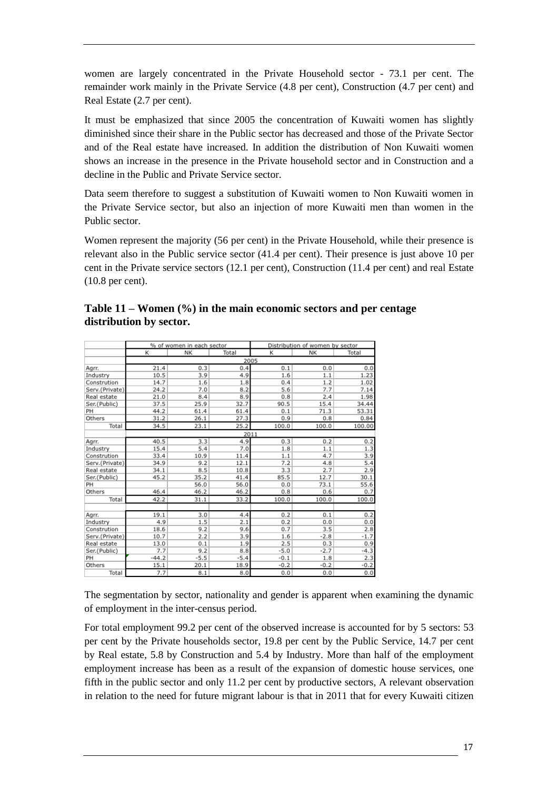women are largely concentrated in the Private Household sector - 73.1 per cent. The remainder work mainly in the Private Service (4.8 per cent), Construction (4.7 per cent) and Real Estate (2.7 per cent).

It must be emphasized that since 2005 the concentration of Kuwaiti women has slightly diminished since their share in the Public sector has decreased and those of the Private Sector and of the Real estate have increased. In addition the distribution of Non Kuwaiti women shows an increase in the presence in the Private household sector and in Construction and a decline in the Public and Private Service sector.

Data seem therefore to suggest a substitution of Kuwaiti women to Non Kuwaiti women in the Private Service sector, but also an injection of more Kuwaiti men than women in the Public sector.

Women represent the majority (56 per cent) in the Private Household, while their presence is relevant also in the Public service sector (41.4 per cent). Their presence is just above 10 per cent in the Private service sectors (12.1 per cent), Construction (11.4 per cent) and real Estate (10.8 per cent).

|                |         | % of women in each sector |        | Distribution of women by sector |        |        |  |  |  |
|----------------|---------|---------------------------|--------|---------------------------------|--------|--------|--|--|--|
|                | К       | NK                        | Total  | К                               | NK     | Total  |  |  |  |
|                | 2005    |                           |        |                                 |        |        |  |  |  |
| Agrr.          | 21.4    | 0.3                       | 0.4    | 0.1                             | 0.0    | 0.0    |  |  |  |
| Industry       | 10.5    | 3.9                       | 4.9    | 1.6                             | 1.1    | 1.23   |  |  |  |
| Constrution    | 14.7    | 1.6                       | 1.8    | 0.4                             | 1.2    | 1.02   |  |  |  |
| Serv.(Private) | 24.2    | 7.0                       | 8.2    | 5.6                             | 7.7    | 7.14   |  |  |  |
| Real estate    | 21.0    | 8.4                       | 8.9    | 0.8                             | 2.4    | 1.98   |  |  |  |
| Ser.(Public)   | 37.5    | 25.9                      | 32.7   | 90.5                            | 15.4   | 34.44  |  |  |  |
| PH             | 44.2    | 61.4                      | 61.4   | 0.1                             | 71.3   | 53.31  |  |  |  |
| Others         | 31.2    | 26.1                      | 27.3   | 0.9                             | 0.8    | 0.84   |  |  |  |
| Total          | 34.5    | 23.1                      | 25.2   | 100.0                           | 100.0  | 100.00 |  |  |  |
|                |         |                           |        | 2011                            |        |        |  |  |  |
| Agrr.          | 40.5    | 3.3                       | 4.9    | 0.3                             | 0.2    | 0.2    |  |  |  |
| Industry       | 15.4    | 5.4                       | 7.0    | 1.8                             | 1.1    | 1.3    |  |  |  |
| Constrution    | 33.4    | 10.9                      | 11.4   | 1.1                             | 4.7    | 3.9    |  |  |  |
| Serv.(Private) | 34.9    | 9.2                       | 12.1   | 7.2                             | 4.8    | 5.4    |  |  |  |
| Real estate    | 34.1    | 8.5                       | 10.8   | 3.3                             | 2.7    | 2.9    |  |  |  |
| Ser.(Public)   | 45.2    | 35.2                      | 41.4   | 85.5                            | 12.7   | 30.1   |  |  |  |
| PH             |         | 56.0                      | 56.0   | 0.0                             | 73.1   | 55.6   |  |  |  |
| Others         | 46.4    | 46.2                      | 46.2   | 0.8                             | 0.6    | 0.7    |  |  |  |
| Total          | 42.2    | 31.1                      | 33.2   | 100.0                           | 100.0  | 100.0  |  |  |  |
|                |         |                           |        |                                 |        |        |  |  |  |
| Agrr.          | 19.1    | 3.0                       | 4.4    | 0.2                             | 0.1    | 0.2    |  |  |  |
| Industry       | 4.9     | 1.5                       | 2.1    | 0.2                             | 0.0    | 0.0    |  |  |  |
| Constrution    | 18.6    | 9.2                       | 9.6    | 0.7                             | 3.5    | 2.8    |  |  |  |
| Serv.(Private) | 10.7    | 2.2                       | 3.9    | 1.6                             | $-2.8$ | $-1.7$ |  |  |  |
| Real estate    | 13.0    | 0.1                       | 1.9    | 2.5                             | 0.3    | 0.9    |  |  |  |
| Ser.(Public)   | 7.7     | 9.2                       | 8.8    | $-5.0$                          | $-2.7$ | $-4.3$ |  |  |  |
| PH             | $-44.2$ | $-5.5$                    | $-5.4$ | $-0.1$                          | 1.8    | 2.3    |  |  |  |
| Others         | 15.1    | 20.1                      | 18.9   | $-0.2$                          | $-0.2$ | $-0.2$ |  |  |  |
| Total          | 7.7     | 8.1                       | 8.0    | 0.0                             | 0.0    | 0.0    |  |  |  |

# <span id="page-16-0"></span>**Table 11 – Women (%) in the main economic sectors and per centage distribution by sector.**

The segmentation by sector, nationality and gender is apparent when examining the dynamic of employment in the inter-census period.

For total employment 99.2 per cent of the observed increase is accounted for by 5 sectors: 53 per cent by the Private households sector, 19.8 per cent by the Public Service, 14.7 per cent by Real estate, 5.8 by Construction and 5.4 by Industry. More than half of the employment employment increase has been as a result of the expansion of domestic house services, one fifth in the public sector and only 11.2 per cent by productive sectors, A relevant observation in relation to the need for future migrant labour is that in 2011 that for every Kuwaiti citizen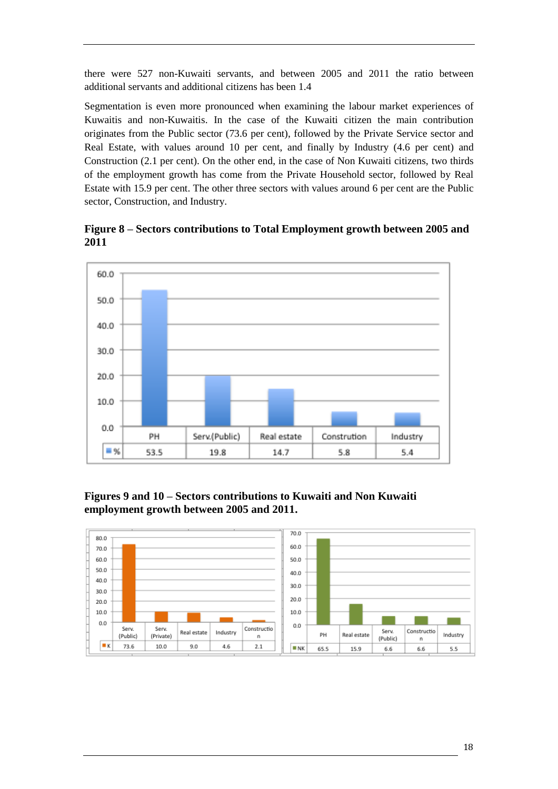there were 527 non-Kuwaiti servants, and between 2005 and 2011 the ratio between additional servants and additional citizens has been 1.4

Segmentation is even more pronounced when examining the labour market experiences of Kuwaitis and non-Kuwaitis. In the case of the Kuwaiti citizen the main contribution originates from the Public sector (73.6 per cent), followed by the Private Service sector and Real Estate, with values around 10 per cent, and finally by Industry (4.6 per cent) and Construction (2.1 per cent). On the other end, in the case of Non Kuwaiti citizens, two thirds of the employment growth has come from the Private Household sector, followed by Real Estate with 15.9 per cent. The other three sectors with values around 6 per cent are the Public sector, Construction, and Industry.

<span id="page-17-1"></span>**Figure 8 – Sectors contributions to Total Employment growth between 2005 and 2011** 



<span id="page-17-2"></span>**Figures 9 and 10 – Sectors contributions to Kuwaiti and Non Kuwaiti employment growth between 2005 and 2011.**

<span id="page-17-0"></span>